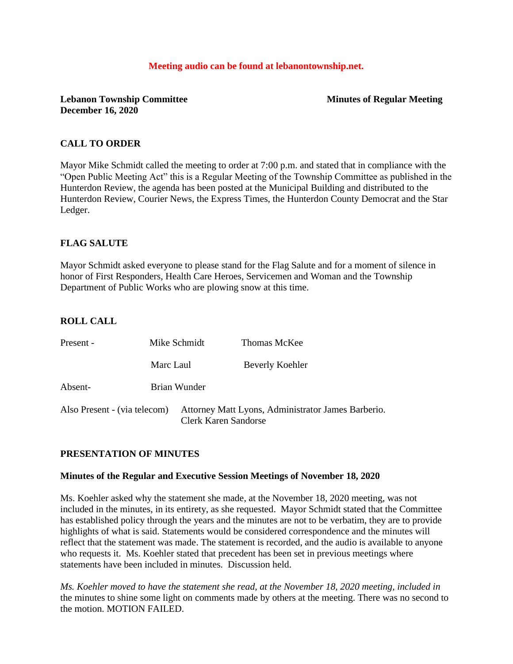#### **Meeting audio can be found at lebanontownship.net.**

# **Lebanon Township Committee Minutes of Regular Meeting December 16, 2020**

# **CALL TO ORDER**

Mayor Mike Schmidt called the meeting to order at 7:00 p.m. and stated that in compliance with the "Open Public Meeting Act" this is a Regular Meeting of the Township Committee as published in the Hunterdon Review, the agenda has been posted at the Municipal Building and distributed to the Hunterdon Review, Courier News, the Express Times, the Hunterdon County Democrat and the Star Ledger.

# **FLAG SALUTE**

Mayor Schmidt asked everyone to please stand for the Flag Salute and for a moment of silence in honor of First Responders, Health Care Heroes, Servicemen and Woman and the Township Department of Public Works who are plowing snow at this time.

# **ROLL CALL**

| Present -                    | Mike Schmidt | Thomas McKee                                                                      |  |
|------------------------------|--------------|-----------------------------------------------------------------------------------|--|
|                              | Marc Laul    | Beverly Koehler                                                                   |  |
| Absent-                      | Brian Wunder |                                                                                   |  |
| Also Present - (via telecom) |              | Attorney Matt Lyons, Administrator James Barberio.<br><b>Clerk Karen Sandorse</b> |  |

## **PRESENTATION OF MINUTES**

#### **Minutes of the Regular and Executive Session Meetings of November 18, 2020**

Ms. Koehler asked why the statement she made, at the November 18, 2020 meeting, was not included in the minutes, in its entirety, as she requested. Mayor Schmidt stated that the Committee has established policy through the years and the minutes are not to be verbatim, they are to provide highlights of what is said. Statements would be considered correspondence and the minutes will reflect that the statement was made. The statement is recorded, and the audio is available to anyone who requests it. Ms. Koehler stated that precedent has been set in previous meetings where statements have been included in minutes. Discussion held.

*Ms. Koehler moved to have the statement she read, at the November 18, 2020 meeting, included in* the minutes to shine some light on comments made by others at the meeting. There was no second to the motion. MOTION FAILED.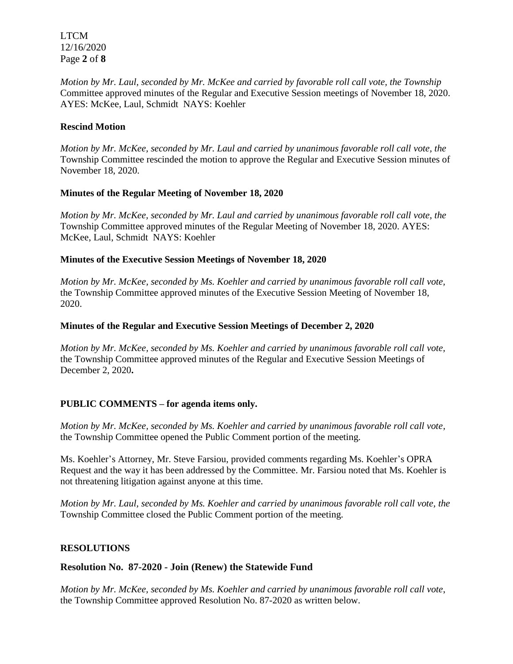LTCM 12/16/2020 Page **2** of **8**

*Motion by Mr. Laul, seconded by Mr. McKee and carried by favorable roll call vote, the Township* Committee approved minutes of the Regular and Executive Session meetings of November 18, 2020. AYES: McKee, Laul, Schmidt NAYS: Koehler

#### **Rescind Motion**

*Motion by Mr. McKee, seconded by Mr. Laul and carried by unanimous favorable roll call vote, the* Township Committee rescinded the motion to approve the Regular and Executive Session minutes of November 18, 2020.

#### **Minutes of the Regular Meeting of November 18, 2020**

*Motion by Mr. McKee, seconded by Mr. Laul and carried by unanimous favorable roll call vote, the* Township Committee approved minutes of the Regular Meeting of November 18, 2020. AYES: McKee, Laul, Schmidt NAYS: Koehler

#### **Minutes of the Executive Session Meetings of November 18, 2020**

*Motion by Mr. McKee, seconded by Ms. Koehler and carried by unanimous favorable roll call vote,*  the Township Committee approved minutes of the Executive Session Meeting of November 18, 2020.

#### **Minutes of the Regular and Executive Session Meetings of December 2, 2020**

*Motion by Mr. McKee, seconded by Ms. Koehler and carried by unanimous favorable roll call vote,*  the Township Committee approved minutes of the Regular and Executive Session Meetings of December 2, 2020**.** 

## **PUBLIC COMMENTS – for agenda items only.**

*Motion by Mr. McKee, seconded by Ms. Koehler and carried by unanimous favorable roll call vote,*  the Township Committee opened the Public Comment portion of the meeting.

Ms. Koehler's Attorney, Mr. Steve Farsiou, provided comments regarding Ms. Koehler's OPRA Request and the way it has been addressed by the Committee. Mr. Farsiou noted that Ms. Koehler is not threatening litigation against anyone at this time.

*Motion by Mr. Laul, seconded by Ms. Koehler and carried by unanimous favorable roll call vote, the*  Township Committee closed the Public Comment portion of the meeting.

#### **RESOLUTIONS**

## **Resolution No. 87-2020 - Join (Renew) the Statewide Fund**

*Motion by Mr. McKee, seconded by Ms. Koehler and carried by unanimous favorable roll call vote*, the Township Committee approved Resolution No. 87-2020 as written below.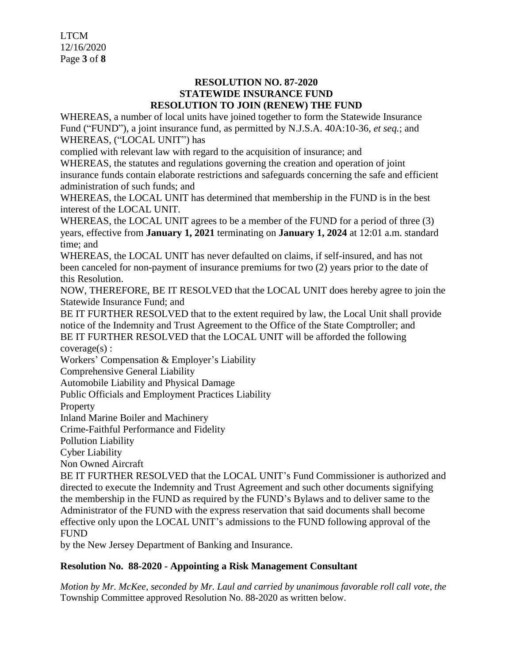LTCM 12/16/2020 Page **3** of **8**

# **RESOLUTION NO. 87-2020 STATEWIDE INSURANCE FUND RESOLUTION TO JOIN (RENEW) THE FUND**

WHEREAS, a number of local units have joined together to form the Statewide Insurance Fund ("FUND"), a joint insurance fund, as permitted by N.J.S.A. 40A:10-36, *et seq.*; and WHEREAS, ("LOCAL UNIT") has

complied with relevant law with regard to the acquisition of insurance; and

WHEREAS, the statutes and regulations governing the creation and operation of joint insurance funds contain elaborate restrictions and safeguards concerning the safe and efficient administration of such funds; and

WHEREAS, the LOCAL UNIT has determined that membership in the FUND is in the best interest of the LOCAL UNIT.

WHEREAS, the LOCAL UNIT agrees to be a member of the FUND for a period of three (3) years, effective from **January 1, 2021** terminating on **January 1, 2024** at 12:01 a.m. standard time; and

WHEREAS, the LOCAL UNIT has never defaulted on claims, if self-insured, and has not been canceled for non-payment of insurance premiums for two (2) years prior to the date of this Resolution.

NOW, THEREFORE, BE IT RESOLVED that the LOCAL UNIT does hereby agree to join the Statewide Insurance Fund; and

BE IT FURTHER RESOLVED that to the extent required by law, the Local Unit shall provide notice of the Indemnity and Trust Agreement to the Office of the State Comptroller; and BE IT FURTHER RESOLVED that the LOCAL UNIT will be afforded the following coverage(s) :

Workers' Compensation & Employer's Liability

Comprehensive General Liability

Automobile Liability and Physical Damage

Public Officials and Employment Practices Liability

Property

Inland Marine Boiler and Machinery

Crime-Faithful Performance and Fidelity

Pollution Liability

Cyber Liability

Non Owned Aircraft

BE IT FURTHER RESOLVED that the LOCAL UNIT's Fund Commissioner is authorized and directed to execute the Indemnity and Trust Agreement and such other documents signifying the membership in the FUND as required by the FUND's Bylaws and to deliver same to the Administrator of the FUND with the express reservation that said documents shall become effective only upon the LOCAL UNIT's admissions to the FUND following approval of the FUND

by the New Jersey Department of Banking and Insurance.

# **Resolution No. 88-2020 - Appointing a Risk Management Consultant**

*Motion by Mr. McKee, seconded by Mr. Laul and carried by unanimous favorable roll call vote*, *the* Township Committee approved Resolution No. 88-2020 as written below.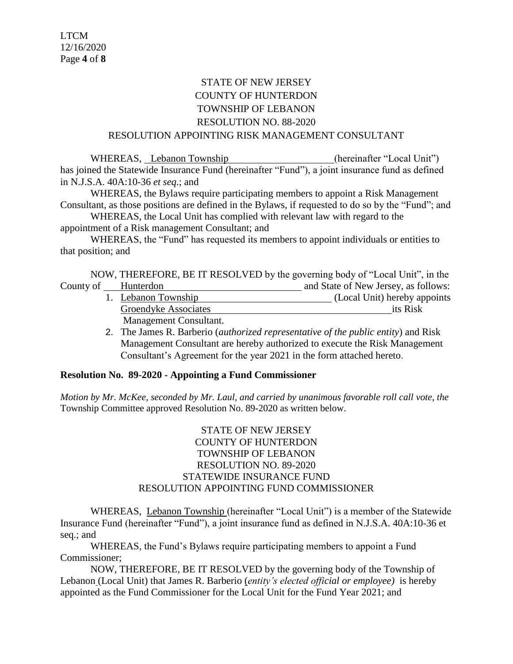# STATE OF NEW JERSEY COUNTY OF HUNTERDON TOWNSHIP OF LEBANON RESOLUTION NO. 88-2020 RESOLUTION APPOINTING RISK MANAGEMENT CONSULTANT

WHEREAS, Lebanon Township (hereinafter "Local Unit") has joined the Statewide Insurance Fund (hereinafter "Fund"), a joint insurance fund as defined in N.J.S.A. 40A:10-36 *et seq*.; and

WHEREAS, the Bylaws require participating members to appoint a Risk Management Consultant, as those positions are defined in the Bylaws, if requested to do so by the "Fund"; and

WHEREAS, the Local Unit has complied with relevant law with regard to the appointment of a Risk management Consultant; and

WHEREAS, the "Fund" has requested its members to appoint individuals or entities to that position; and

NOW, THEREFORE, BE IT RESOLVED by the governing body of "Local Unit", in the County of Hunterdon **Hunterdon** and State of New Jersey, as follows:

- 1. Lebanon Township (Local Unit) hereby appoints Groendyke Associates its Risk Management Consultant.
- 2. The James R. Barberio (*authorized representative of the public entity*) and Risk Management Consultant are hereby authorized to execute the Risk Management Consultant's Agreement for the year 2021 in the form attached hereto.

# **Resolution No. 89-2020 - Appointing a Fund Commissioner**

*Motion by Mr. McKee, seconded by Mr. Laul, and carried by unanimous favorable roll call vote*, *the* Township Committee approved Resolution No. 89-2020 as written below.

# STATE OF NEW JERSEY COUNTY OF HUNTERDON TOWNSHIP OF LEBANON RESOLUTION NO. 89-2020 STATEWIDE INSURANCE FUND RESOLUTION APPOINTING FUND COMMISSIONER

WHEREAS, Lebanon Township (hereinafter "Local Unit") is a member of the Statewide Insurance Fund (hereinafter "Fund"), a joint insurance fund as defined in N.J.S.A. 40A:10-36 et seq.; and

WHEREAS, the Fund's Bylaws require participating members to appoint a Fund Commissioner;

NOW, THEREFORE, BE IT RESOLVED by the governing body of the Township of Lebanon (Local Unit) that James R. Barberio (*entity's elected official or employee)* is hereby appointed as the Fund Commissioner for the Local Unit for the Fund Year 2021; and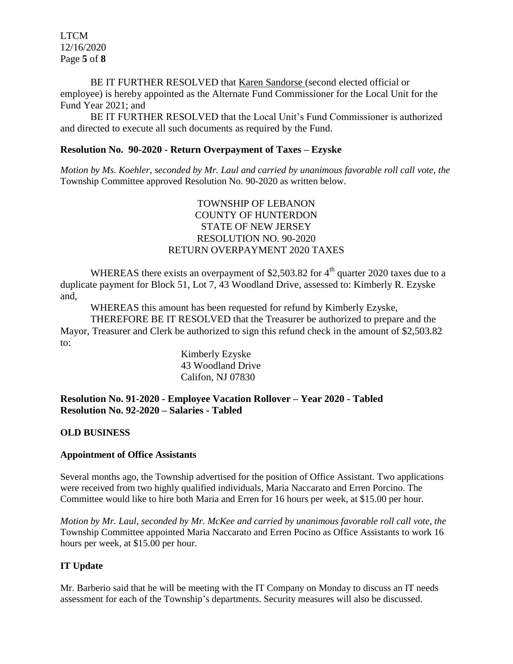LTCM 12/16/2020 Page **5** of **8**

BE IT FURTHER RESOLVED that Karen Sandorse (second elected official or employee) is hereby appointed as the Alternate Fund Commissioner for the Local Unit for the Fund Year 2021; and

BE IT FURTHER RESOLVED that the Local Unit's Fund Commissioner is authorized and directed to execute all such documents as required by the Fund.

#### **Resolution No. 90-2020 - Return Overpayment of Taxes – Ezyske**

*Motion by Ms. Koehler, seconded by Mr. Laul and carried by unanimous favorable roll call vote*, *the* Township Committee approved Resolution No. 90-2020 as written below.

# TOWNSHIP OF LEBANON COUNTY OF HUNTERDON STATE OF NEW JERSEY RESOLUTION NO. 90-2020 RETURN OVERPAYMENT 2020 TAXES

WHEREAS there exists an overpayment of \$2,503.82 for  $4<sup>th</sup>$  quarter 2020 taxes due to a duplicate payment for Block 51, Lot 7, 43 Woodland Drive, assessed to: Kimberly R. Ezyske and,

WHEREAS this amount has been requested for refund by Kimberly Ezyske,

THEREFORE BE IT RESOLVED that the Treasurer be authorized to prepare and the Mayor, Treasurer and Clerk be authorized to sign this refund check in the amount of \$2,503.82 to:

Kimberly Ezyske 43 Woodland Drive Califon, NJ 07830

**Resolution No. 91-2020 - Employee Vacation Rollover – Year 2020 - Tabled Resolution No. 92-2020 – Salaries - Tabled**

## **OLD BUSINESS**

#### **Appointment of Office Assistants**

Several months ago, the Township advertised for the position of Office Assistant. Two applications were received from two highly qualified individuals, Maria Naccarato and Erren Porcino. The Committee would like to hire both Maria and Erren for 16 hours per week, at \$15.00 per hour.

*Motion by Mr. Laul, seconded by Mr. McKee and carried by unanimous favorable roll call vote*, *the* Township Committee appointed Maria Naccarato and Erren Pocino as Office Assistants to work 16 hours per week, at \$15.00 per hour.

## **IT Update**

Mr. Barberio said that he will be meeting with the IT Company on Monday to discuss an IT needs assessment for each of the Township's departments. Security measures will also be discussed.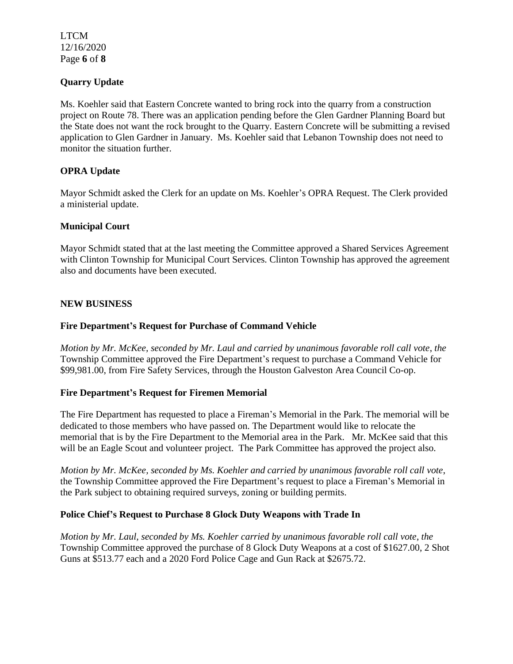LTCM 12/16/2020 Page **6** of **8**

# **Quarry Update**

Ms. Koehler said that Eastern Concrete wanted to bring rock into the quarry from a construction project on Route 78. There was an application pending before the Glen Gardner Planning Board but the State does not want the rock brought to the Quarry. Eastern Concrete will be submitting a revised application to Glen Gardner in January. Ms. Koehler said that Lebanon Township does not need to monitor the situation further.

# **OPRA Update**

Mayor Schmidt asked the Clerk for an update on Ms. Koehler's OPRA Request. The Clerk provided a ministerial update.

# **Municipal Court**

Mayor Schmidt stated that at the last meeting the Committee approved a Shared Services Agreement with Clinton Township for Municipal Court Services. Clinton Township has approved the agreement also and documents have been executed.

## **NEW BUSINESS**

#### **Fire Department's Request for Purchase of Command Vehicle**

*Motion by Mr. McKee, seconded by Mr. Laul and carried by unanimous favorable roll call vote*, *the* Township Committee approved the Fire Department's request to purchase a Command Vehicle for \$99,981.00, from Fire Safety Services, through the Houston Galveston Area Council Co-op.

## **Fire Department's Request for Firemen Memorial**

The Fire Department has requested to place a Fireman's Memorial in the Park. The memorial will be dedicated to those members who have passed on. The Department would like to relocate the memorial that is by the Fire Department to the Memorial area in the Park. Mr. McKee said that this will be an Eagle Scout and volunteer project. The Park Committee has approved the project also.

*Motion by Mr. McKee, seconded by Ms. Koehler and carried by unanimous favorable roll call vote*, the Township Committee approved the Fire Department's request to place a Fireman's Memorial in the Park subject to obtaining required surveys, zoning or building permits.

## **Police Chief's Request to Purchase 8 Glock Duty Weapons with Trade In**

*Motion by Mr. Laul, seconded by Ms. Koehler carried by unanimous favorable roll call vote*, *the* Township Committee approved the purchase of 8 Glock Duty Weapons at a cost of \$1627.00, 2 Shot Guns at \$513.77 each and a 2020 Ford Police Cage and Gun Rack at \$2675.72.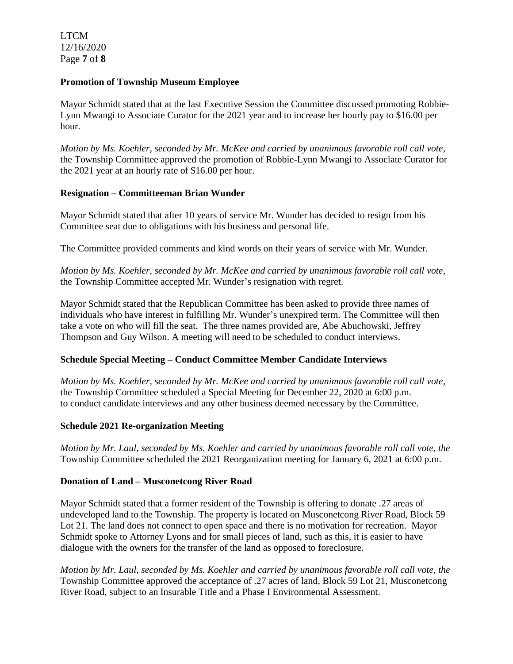LTCM 12/16/2020 Page **7** of **8**

#### **Promotion of Township Museum Employee**

Mayor Schmidt stated that at the last Executive Session the Committee discussed promoting Robbie-Lynn Mwangi to Associate Curator for the 2021 year and to increase her hourly pay to \$16.00 per hour.

*Motion by Ms. Koehler, seconded by Mr. McKee and carried by unanimous favorable roll call vote*, the Township Committee approved the promotion of Robbie-Lynn Mwangi to Associate Curator for the 2021 year at an hourly rate of \$16.00 per hour.

## **Resignation – Committeeman Brian Wunder**

Mayor Schmidt stated that after 10 years of service Mr. Wunder has decided to resign from his Committee seat due to obligations with his business and personal life.

The Committee provided comments and kind words on their years of service with Mr. Wunder.

*Motion by Ms. Koehler, seconded by Mr. McKee and carried by unanimous favorable roll call vote*, the Township Committee accepted Mr. Wunder's resignation with regret.

Mayor Schmidt stated that the Republican Committee has been asked to provide three names of individuals who have interest in fulfilling Mr. Wunder's unexpired term. The Committee will then take a vote on who will fill the seat. The three names provided are, Abe Abuchowski, Jeffrey Thompson and Guy Wilson. A meeting will need to be scheduled to conduct interviews.

## **Schedule Special Meeting – Conduct Committee Member Candidate Interviews**

*Motion by Ms. Koehler, seconded by Mr. McKee and carried by unanimous favorable roll call vote*, the Township Committee scheduled a Special Meeting for December 22, 2020 at 6:00 p.m. to conduct candidate interviews and any other business deemed necessary by the Committee.

## **Schedule 2021 Re-organization Meeting**

*Motion by Mr. Laul, seconded by Ms. Koehler and carried by unanimous favorable roll call vote*, *the* Township Committee scheduled the 2021 Reorganization meeting for January 6, 2021 at 6:00 p.m.

## **Donation of Land – Musconetcong River Road**

Mayor Schmidt stated that a former resident of the Township is offering to donate .27 areas of undeveloped land to the Township. The property is located on Musconetcong River Road, Block 59 Lot 21. The land does not connect to open space and there is no motivation for recreation. Mayor Schmidt spoke to Attorney Lyons and for small pieces of land, such as this, it is easier to have dialogue with the owners for the transfer of the land as opposed to foreclosure.

*Motion by Mr. Laul, seconded by Ms. Koehler and carried by unanimous favorable roll call vote*, *the* Township Committee approved the acceptance of .27 acres of land, Block 59 Lot 21, Musconetcong River Road, subject to an Insurable Title and a Phase I Environmental Assessment.